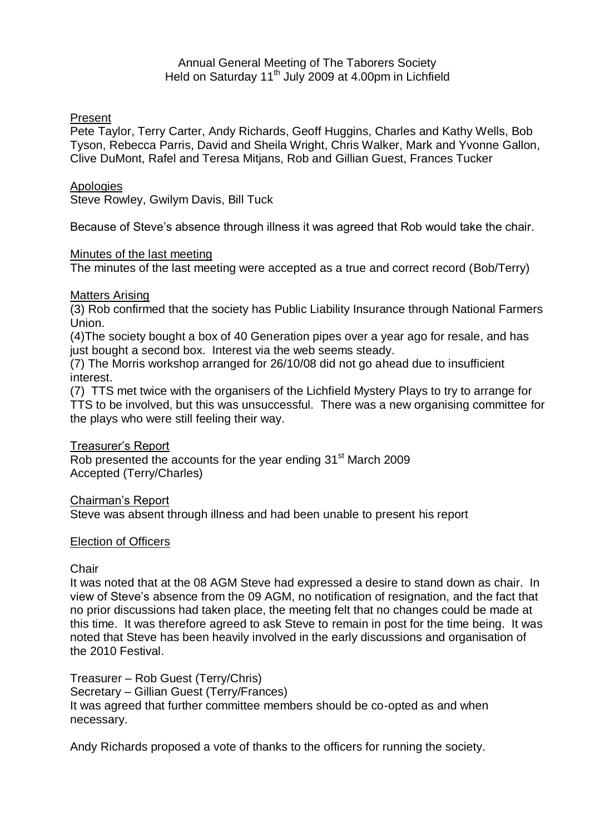## Annual General Meeting of The Taborers Society Held on Saturday  $11<sup>th</sup>$  July 2009 at 4.00pm in Lichfield

# Present

Pete Taylor, Terry Carter, Andy Richards, Geoff Huggins, Charles and Kathy Wells, Bob Tyson, Rebecca Parris, David and Sheila Wright, Chris Walker, Mark and Yvonne Gallon, Clive DuMont, Rafel and Teresa Mitjans, Rob and Gillian Guest, Frances Tucker

# **Apologies**

Steve Rowley, Gwilym Davis, Bill Tuck

Because of Steve's absence through illness it was agreed that Rob would take the chair.

### Minutes of the last meeting

The minutes of the last meeting were accepted as a true and correct record (Bob/Terry)

### Matters Arising

(3) Rob confirmed that the society has Public Liability Insurance through National Farmers Union.

(4)The society bought a box of 40 Generation pipes over a year ago for resale, and has just bought a second box. Interest via the web seems steady.

(7) The Morris workshop arranged for 26/10/08 did not go ahead due to insufficient interest.

(7) TTS met twice with the organisers of the Lichfield Mystery Plays to try to arrange for TTS to be involved, but this was unsuccessful. There was a new organising committee for the plays who were still feeling their way.

### Treasurer's Report

Rob presented the accounts for the year ending 31<sup>st</sup> March 2009 Accepted (Terry/Charles)

Chairman's Report

Steve was absent through illness and had been unable to present his report

# Election of Officers

### **Chair**

It was noted that at the 08 AGM Steve had expressed a desire to stand down as chair. In view of Steve's absence from the 09 AGM, no notification of resignation, and the fact that no prior discussions had taken place, the meeting felt that no changes could be made at this time. It was therefore agreed to ask Steve to remain in post for the time being. It was noted that Steve has been heavily involved in the early discussions and organisation of the 2010 Festival.

Treasurer – Rob Guest (Terry/Chris) Secretary – Gillian Guest (Terry/Frances) It was agreed that further committee members should be co-opted as and when necessary.

Andy Richards proposed a vote of thanks to the officers for running the society.